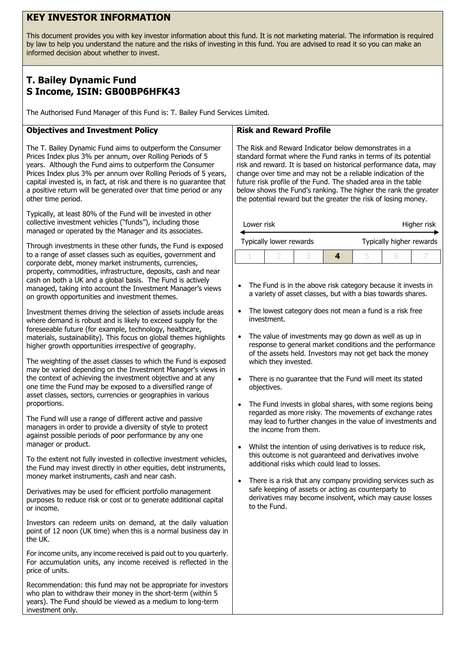## **KEY INVESTOR INFORMATION**

This document provides you with key investor information about this fund. It is not marketing material. The information is required by law to help you understand the nature and the risks of investing in this fund. You are advised to read it so you can make an informed decision about whether to invest.

# **T. Bailey Dynamic Fund S Income, ISIN: GB00BP6HFK43**

The Authorised Fund Manager of this Fund is: T. Bailey Fund Services Limited.

### **Objectives and Investment Policy**

The T. Bailey Dynamic Fund aims to outperform the Consumer Prices Index plus 3% per annum, over Rolling Periods of 5 years. Although the Fund aims to outperform the Consumer Prices Index plus 3% per annum over Rolling Periods of 5 years, capital invested is, in fact, at risk and there is no guarantee that a positive return will be generated over that time period or any other time period.

Typically, at least 80% of the Fund will be invested in other collective investment vehicles ("funds"), including those managed or operated by the Manager and its associates.

Through investments in these other funds, the Fund is exposed to a range of asset classes such as equities, government and corporate debt, money market instruments, currencies, property, commodities, infrastructure, deposits, cash and near cash on both a UK and a global basis. The Fund is actively managed, taking into account the Investment Manager's views on growth opportunities and investment themes.

Investment themes driving the selection of assets include areas where demand is robust and is likely to exceed supply for the foreseeable future (for example, technology, healthcare, materials, sustainability). This focus on global themes highlights higher growth opportunities irrespective of geography.

The weighting of the asset classes to which the Fund is exposed may be varied depending on the Investment Manager's views in the context of achieving the investment objective and at any one time the Fund may be exposed to a diversified range of asset classes, sectors, currencies or geographies in various proportions.

The Fund will use a range of different active and passive managers in order to provide a diversity of style to protect against possible periods of poor performance by any one manager or product.

To the extent not fully invested in collective investment vehicles, the Fund may invest directly in other equities, debt instruments, money market instruments, cash and near cash.

Derivatives may be used for efficient portfolio management purposes to reduce risk or cost or to generate additional capital or income.

Investors can redeem units on demand, at the daily valuation point of 12 noon (UK time) when this is a normal business day in the UK.

For income units, any income received is paid out to you quarterly. For accumulation units, any income received is reflected in the price of units.

Recommendation: this fund may not be appropriate for investors who plan to withdraw their money in the short-term (within 5 years). The Fund should be viewed as a medium to long-term investment only.

#### **Risk and Reward Profile**

The Risk and Reward Indicator below demonstrates in a standard format where the Fund ranks in terms of its potential risk and reward. It is based on historical performance data, may change over time and may not be a reliable indication of the future risk profile of the Fund. The shaded area in the table below shows the Fund's ranking. The higher the rank the greater the potential reward but the greater the risk of losing money.

| Lower risk |                         |  | Higher risk              |  |  |  |
|------------|-------------------------|--|--------------------------|--|--|--|
|            | Typically lower rewards |  | Typically higher rewards |  |  |  |
|            |                         |  |                          |  |  |  |

- The Fund is in the above risk category because it invests in a variety of asset classes, but with a bias towards shares.
- The lowest category does not mean a fund is a risk free investment.
- The value of investments may go down as well as up in response to general market conditions and the performance of the assets held. Investors may not get back the money which they invested.
- There is no guarantee that the Fund will meet its stated objectives.
- The Fund invests in global shares, with some regions being regarded as more risky. The movements of exchange rates may lead to further changes in the value of investments and the income from them.
- Whilst the intention of using derivatives is to reduce risk, this outcome is not guaranteed and derivatives involve additional risks which could lead to losses.
- There is a risk that any company providing services such as safe keeping of assets or acting as counterparty to derivatives may become insolvent, which may cause losses to the Fund.